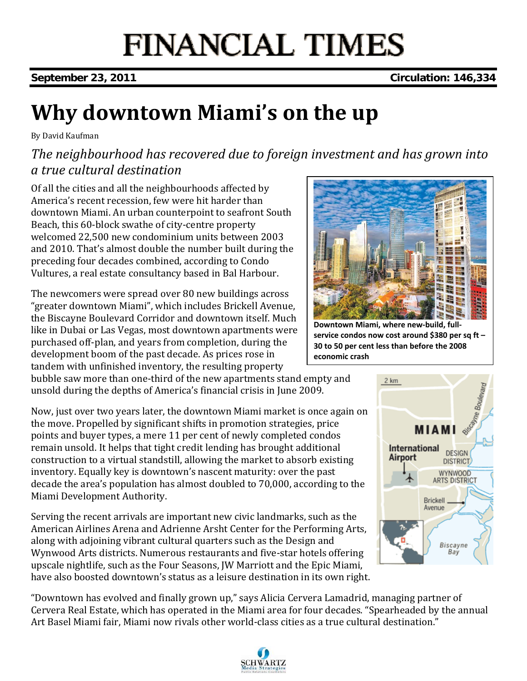## **FINANCIAL TIMES**

**September 23, 2011 Circulation: 146,334** 

## **Why downtown Miami's on the up**

By David Kaufman

### *The neighbourhood has recovered due to foreign investment and has grown into a true cultural destination*

Of all the cities and all the neighbourhoods affected by America's recent recession, few were hit harder than downtown Miami. An urban counterpoint to seafront South Beach, this 60‐block swathe of city‐centre property welcomed 22,500 new condominium units between 2003 and 2010. That's almost double the number built during the preceding four decades combined, according to Condo Vultures, a real estate consultancy based in Bal Harbour.

The newcomers were spread over 80 new buildings across "greater downtown Miami", which includes Brickell Avenue, the Biscayne Boulevard Corridor and downtown itself. Much like in Dubai or Las Vegas, most downtown apartments were purchased off‐plan, and years from completion, during the development boom of the past decade. As prices rose in tandem with unfinished inventory, the resulting property

bubble saw more than one‐third of the new apartments stand empty and unsold during the depths of America's financial crisis in June 2009.

Now, just over two years later, the downtown Miami market is once again on the move. Propelled by significant shifts in promotion strategies, price points and buyer types, a mere 11 per cent of newly completed condos remain unsold. It helps that tight credit lending has brought additional construction to a virtual standstill, allowing the market to absorb existing inventory. Equally key is downtown's nascent maturity: over the past decade the area's population has almost doubled to 70,000, according to the Miami Development Authority.

Serving the recent arrivals are important new civic landmarks, such as the American Airlines Arena and Adrienne Arsht Center for the Performing Arts, along with adjoining vibrant cultural quarters such as the Design and Wynwood Arts districts. Numerous restaurants and five‐star hotels offering upscale nightlife, such as the Four Seasons, JW Marriott and the Epic Miami, have also boosted downtown's status as a leisure destination in its own right.

"Downtown has evolved and finally grown up," says Alicia Cervera Lamadrid, managing partner of Cervera Real Estate, which has operated in the Miami area for four decades. "Spearheaded by the annual Art Basel Miami fair, Miami now rivals other world‐class cities as a true cultural destination."



**Downtown Miami, where new‐build, full‐ service condos now cost around \$380 per sq ft – 30 to 50 per cent less than before the 2008 economic crash**